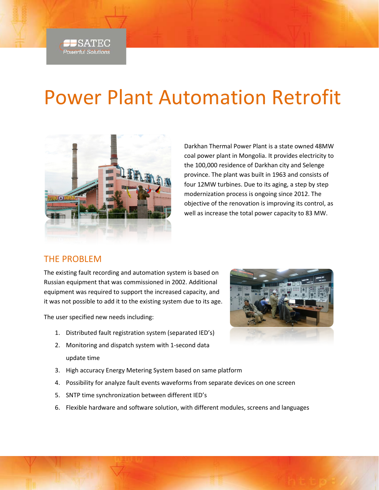

## Power Plant Automation Retrofit



Darkhan Thermal Power Plant is a state owned 48MW coal power plant in Mongolia. It provides electricity to the 100,000 residence of Darkhan city and Selenge province. The plant was built in 1963 and consists of four 12MW turbines. Due to its aging, a step by step modernization process is ongoing since 2012. The objective of the renovation is improving its control, as well as increase the total power capacity to 83 MW.

### THE PROBLEM

The existing fault recording and automation system is based on Russian equipment that was commissioned in 2002. Additional equipment was required to support the increased capacity, and it was not possible to add it to the existing system due to its age.

The user specified new needs including:

- 1. Distributed fault registration system (separated IED's)
- 2. Monitoring and dispatch system with 1-second data update time
- 3. High accuracy Energy Metering System based on same platform
- 4. Possibility for analyze fault events waveforms from separate devices on one screen
- 5. SNTP time synchronization between different IED's
- 6. Flexible hardware and software solution, with different modules, screens and languages

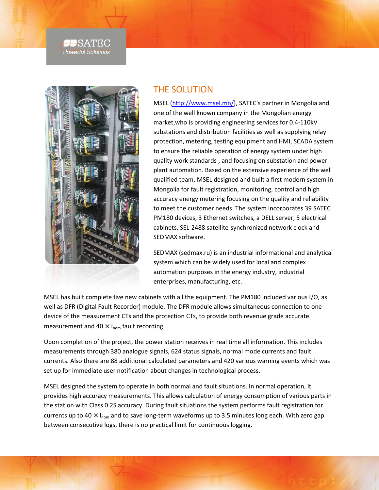#### <del>J S</del>ATEC **Powerful Solutions**



#### THE SOLUTION

MSEL [\(http://www.msel.mn/\)](http://www.msel.mn/), SATEC's partner in Mongolia and one of the well known company in the Mongolian energy market,who is providing engineering services for 0.4-110kV substations and distribution facilities as well as supplying relay protection, metering, testing equipment and HMI, SCADA system to ensure the reliable operation of energy system under high quality work standards , and focusing on substation and power plant automation. Based on the extensive experience of the well qualified team, MSEL designed and built a first modern system in Mongolia for fault registration, monitoring, control and high accuracy energy metering focusing on the quality and reliability to meet the customer needs. The system incorporates 39 SATEC PM180 devices, 3 Ethernet switches, a DELL server, 5 electrical cabinets, SEL-2488 satellite-synchronized network clock and SEDMAX software.

SEDMAX (sedmax.ru) is an industrial informational and analytical system which can be widely used for local and complex automation purposes in the energy industry, industrial enterprises, manufacturing, etc.

MSEL has built complete five new cabinets with all the equipment. The PM180 included various I/O, as well as DFR (Digital Fault Recorder) module. The DFR module allows simultaneous connection to one device of the measurement CTs and the protection CTs, to provide both revenue grade accurate measurement and 40  $\times$  I<sub>nom</sub> fault recording.

Upon completion of the project, the power station receives in real time all information. This includes measurements through 380 analogue signals, 624 status signals, normal mode currents and fault currents. Also there are 88 additional calculated parameters and 420 various warning events which was set up for immediate user notification about changes in technological process.

MSEL designed the system to operate in both normal and fault situations. In normal operation, it provides high accuracy measurements. This allows calculation of energy consumption of various parts in the station with Class 0.2S accuracy. During fault situations the system performs fault registration for currents up to 40  $\times$  I<sub>nom</sub> and to save long-term waveforms up to 3.5 minutes long each. With zero gap between consecutive logs, there is no practical limit for continuous logging.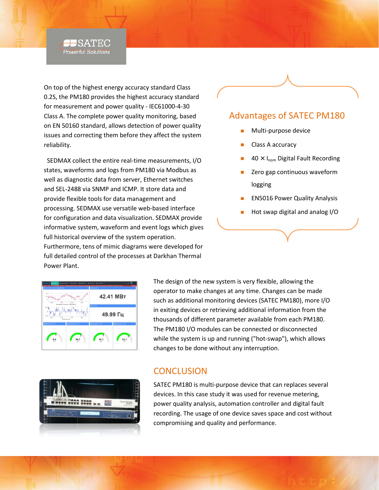

On top of the highest energy accuracy standard Class 0.2S, the PM180 provides the highest accuracy standard for measurement and power quality - IEC61000-4-30 Class A. The complete power quality monitoring, based on EN 50160 standard, allows detection of power quality issues and correcting them before they affect the system reliability.

SEDMAX collect the entire real-time measurements, I/O states, waveforms and logs from PM180 via Modbus as well as diagnostic data from server, Ethernet switches and SEL-2488 via SNMP and ICMP. It store data and provide flexible tools for data management and processing. SEDMAX use versatile web-based interface for configuration and data visualization. SEDMAX provide informative system, waveform and event logs which gives full historical overview of the system operation. Furthermore, tens of mimic diagrams were developed for full detailed control of the processes at Darkhan Thermal Power Plant.

# 42.41 MBT 49.99 Гц  $12.1$

The design of the new system is very flexible, allowing the operator to make changes at any time. Changes can be made such as additional monitoring devices (SATEC PM180), more I/O in exiting devices or retrieving additional information from the thousands of different parameter available from each PM180. The PM180 I/O modules can be connected or disconnected while the system is up and running ("hot-swap"), which allows changes to be done without any interruption.



#### **CONCLUSION**

SATEC PM180 is multi-purpose device that can replaces several devices. In this case study it was used for revenue metering, power quality analysis, automation controller and digital fault recording. The usage of one device saves space and cost without compromising and quality and performance.

### Advantages of SATEC PM180

- Multi-purpose device
- Class A accuracy
- $40 \times I_{\text{nom}}$  Digital Fault Recording
- Zero gap continuous waveform logging
- EN5016 Power Quality Analysis
- Hot swap digital and analog I/O